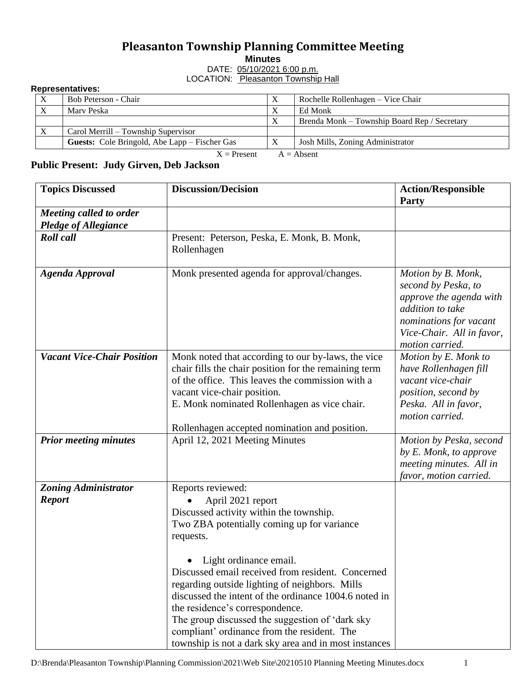## **Pleasanton Township Planning Committee Meeting**

**Minutes**

DATE: 05/10/2021 6:00 p.m. LOCATION: Pleasanton Township Hall

## **Representatives:**

| $\boldsymbol{\mathrm{X}}$     | Bob Peterson - Chair                                 | $\Lambda$ | Rochelle Rollenhagen – Vice Chair            |  |  |
|-------------------------------|------------------------------------------------------|-----------|----------------------------------------------|--|--|
| $\boldsymbol{X}$              | Mary Peska                                           |           | Ed Monk                                      |  |  |
|                               |                                                      |           | Brenda Monk – Township Board Rep / Secretary |  |  |
| $\boldsymbol{\mathrm{X}}$     | Carol Merrill – Township Supervisor                  |           |                                              |  |  |
|                               | <b>Guests:</b> Cole Bringold, Abe Lapp – Fischer Gas |           | Josh Mills, Zoning Administrator             |  |  |
| $X =$ Present<br>$A = Absent$ |                                                      |           |                                              |  |  |

**Public Present: Judy Girven, Deb Jackson**

| <b>Topics Discussed</b>           | <b>Discussion/Decision</b>                            | <b>Action/Responsible</b><br>Party                |
|-----------------------------------|-------------------------------------------------------|---------------------------------------------------|
| Meeting called to order           |                                                       |                                                   |
| <b>Pledge of Allegiance</b>       |                                                       |                                                   |
| <b>Roll</b> call                  | Present: Peterson, Peska, E. Monk, B. Monk,           |                                                   |
|                                   | Rollenhagen                                           |                                                   |
|                                   |                                                       |                                                   |
| <b>Agenda Approval</b>            | Monk presented agenda for approval/changes.           | Motion by B. Monk,                                |
|                                   |                                                       | second by Peska, to<br>approve the agenda with    |
|                                   |                                                       | addition to take                                  |
|                                   |                                                       | nominations for vacant                            |
|                                   |                                                       | Vice-Chair. All in favor,                         |
|                                   |                                                       | motion carried.                                   |
| <b>Vacant Vice-Chair Position</b> | Monk noted that according to our by-laws, the vice    | Motion by E. Monk to                              |
|                                   | chair fills the chair position for the remaining term | have Rollenhagen fill                             |
|                                   | of the office. This leaves the commission with a      | vacant vice-chair                                 |
|                                   | vacant vice-chair position.                           | position, second by                               |
|                                   | E. Monk nominated Rollenhagen as vice chair.          | Peska. All in favor,                              |
|                                   |                                                       | motion carried.                                   |
|                                   | Rollenhagen accepted nomination and position.         |                                                   |
| <b>Prior meeting minutes</b>      | April 12, 2021 Meeting Minutes                        | Motion by Peska, second                           |
|                                   |                                                       | by E. Monk, to approve                            |
|                                   |                                                       | meeting minutes. All in<br>favor, motion carried. |
| <b>Zoning Administrator</b>       | Reports reviewed:                                     |                                                   |
| <b>Report</b>                     | April 2021 report                                     |                                                   |
|                                   | Discussed activity within the township.               |                                                   |
|                                   | Two ZBA potentially coming up for variance            |                                                   |
|                                   | requests.                                             |                                                   |
|                                   |                                                       |                                                   |
|                                   | Light ordinance email.                                |                                                   |
|                                   | Discussed email received from resident. Concerned     |                                                   |
|                                   | regarding outside lighting of neighbors. Mills        |                                                   |
|                                   | discussed the intent of the ordinance 1004.6 noted in |                                                   |
|                                   | the residence's correspondence.                       |                                                   |
|                                   | The group discussed the suggestion of 'dark sky       |                                                   |
|                                   | compliant' ordinance from the resident. The           |                                                   |
|                                   | township is not a dark sky area and in most instances |                                                   |